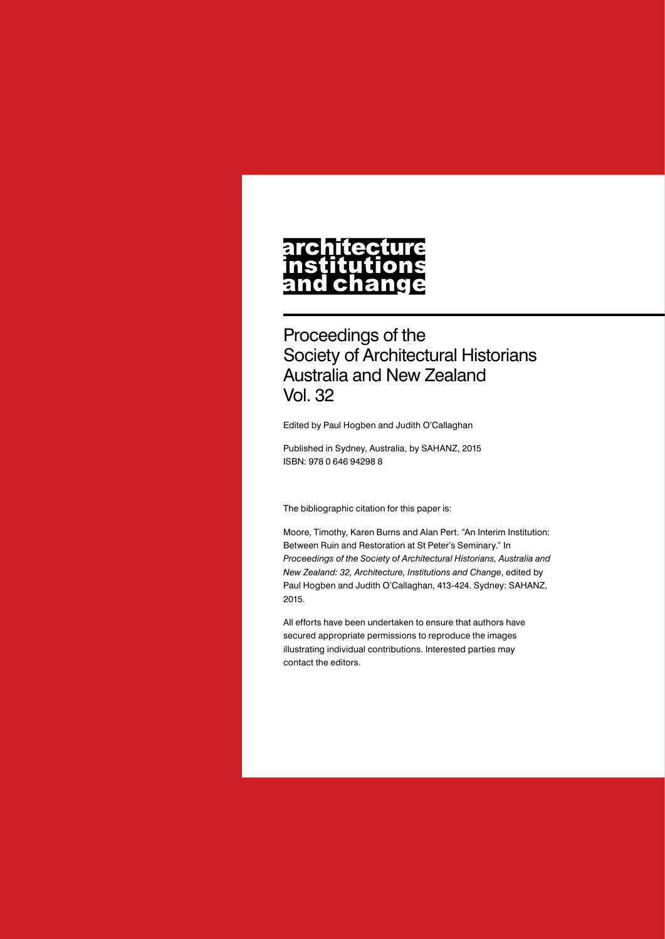# architecture nstitutions<br>and change

Proceedings of the Society of Architectural Historians Australia and New Zealand Vol. 32

Edited by Paul Hogben and Judith O'Callaghan

Published in Sydney, Australia, by SAHANZ, 2015 ISBN: 978 0 646 94298 8

The bibliographic citation for this paper is:

Moore, Timothy, Karen Burns and Alan Pert. "An Interim Institution: Between Ruin and Restoration at St Peter's Seminary." In *Proceedings of the Society of Architectural Historians, Australia and New Zealand: 32, Architecture, Institutions and Change*, edited by Paul Hogben and Judith O'Callaghan, 413-424. Sydney: SAHANZ, 2015.

All efforts have been undertaken to ensure that authors have secured appropriate permissions to reproduce the images illustrating individual contributions. Interested parties may contact the editors.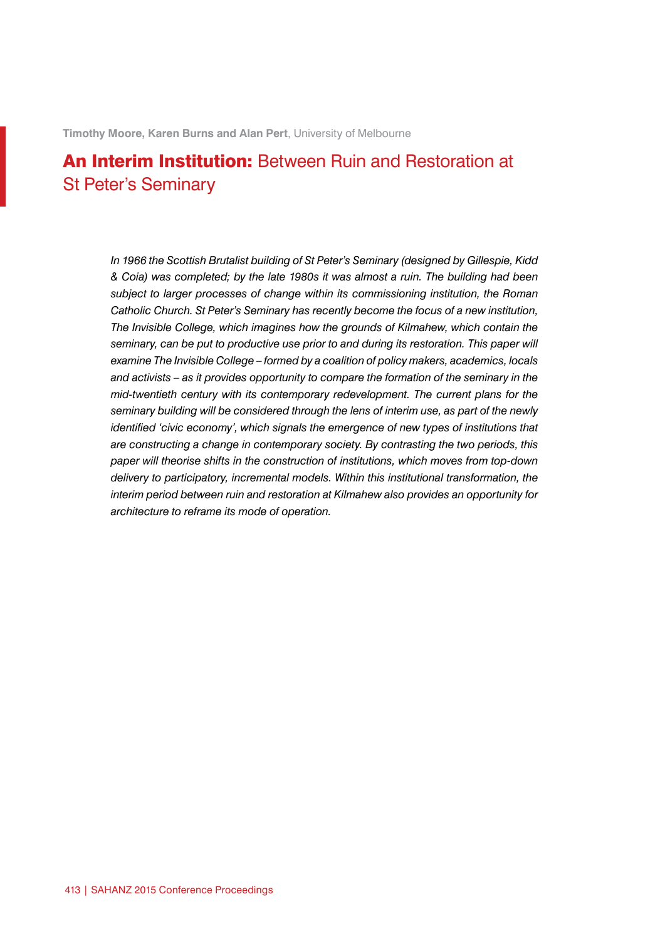**Timothy Moore, Karen Burns and Alan Pert**, University of Melbourne

## An Interim Institution: Between Ruin and Restoration at St Peter's Seminary

*In 1966 the Scottish Brutalist building of St Peter's Seminary (designed by Gillespie, Kidd & Coia) was completed; by the late 1980s it was almost a ruin. The building had been subject to larger processes of change within its commissioning institution, the Roman Catholic Church. St Peter's Seminary has recently become the focus of a new institution, The Invisible College, which imagines how the grounds of Kilmahew, which contain the seminary, can be put to productive use prior to and during its restoration. This paper will examine The Invisible College – formed by a coalition of policy makers, academics, locals and activists – as it provides opportunity to compare the formation of the seminary in the mid-twentieth century with its contemporary redevelopment. The current plans for the seminary building will be considered through the lens of interim use, as part of the newly identified 'civic economy', which signals the emergence of new types of institutions that are constructing a change in contemporary society. By contrasting the two periods, this paper will theorise shifts in the construction of institutions, which moves from top-down delivery to participatory, incremental models. Within this institutional transformation, the interim period between ruin and restoration at Kilmahew also provides an opportunity for architecture to reframe its mode of operation.*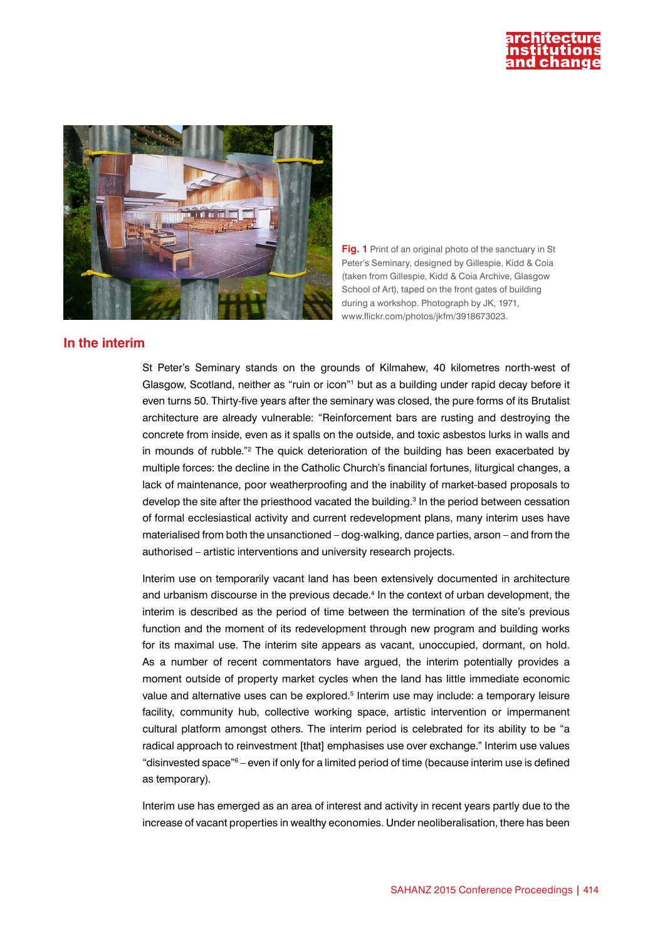



**Fig. 1** Print of an original photo of the sanctuary in St Peter's Seminary, designed by Gillespie, Kidd & Coia (taken from Gillespie, Kidd & Coia Archive, Glasgow School of Art), taped on the front gates of building during a workshop. Photograph by JK, 1971, www.flickr.com/photos/jkfm/3918673023.

### **In the interim**

St Peter's Seminary stands on the grounds of Kilmahew, 40 kilometres north-west of Glasgow, Scotland, neither as "ruin or icon"<sup>1</sup> but as a building under rapid decay before it even turns 50. Thirty-five years after the seminary was closed, the pure forms of its Brutalist architecture are already vulnerable: "Reinforcement bars are rusting and destroying the concrete from inside, even as it spalls on the outside, and toxic asbestos lurks in walls and in mounds of rubble."<sup>2</sup> The quick deterioration of the building has been exacerbated by multiple forces: the decline in the Catholic Church's financial fortunes, liturgical changes, a lack of maintenance, poor weatherproofing and the inability of market-based proposals to develop the site after the priesthood vacated the building.<sup>3</sup> In the period between cessation of formal ecclesiastical activity and current redevelopment plans, many interim uses have materialised from both the unsanctioned – dog-walking, dance parties, arson – and from the authorised – artistic interventions and university research projects.

Interim use on temporarily vacant land has been extensively documented in architecture and urbanism discourse in the previous decade.<sup>4</sup> In the context of urban development, the interim is described as the period of time between the termination of the site's previous function and the moment of its redevelopment through new program and building works for its maximal use. The interim site appears as vacant, unoccupied, dormant, on hold. As a number of recent commentators have argued, the interim potentially provides a moment outside of property market cycles when the land has little immediate economic value and alternative uses can be explored.<sup>5</sup> Interim use may include: a temporary leisure facility, community hub, collective working space, artistic intervention or impermanent cultural platform amongst others. The interim period is celebrated for its ability to be "a radical approach to reinvestment [that] emphasises use over exchange." Interim use values "disinvested space"<sup>6</sup> – even if only for a limited period of time (because interim use is defined as temporary).

Interim use has emerged as an area of interest and activity in recent years partly due to the increase of vacant properties in wealthy economies. Under neoliberalisation, there has been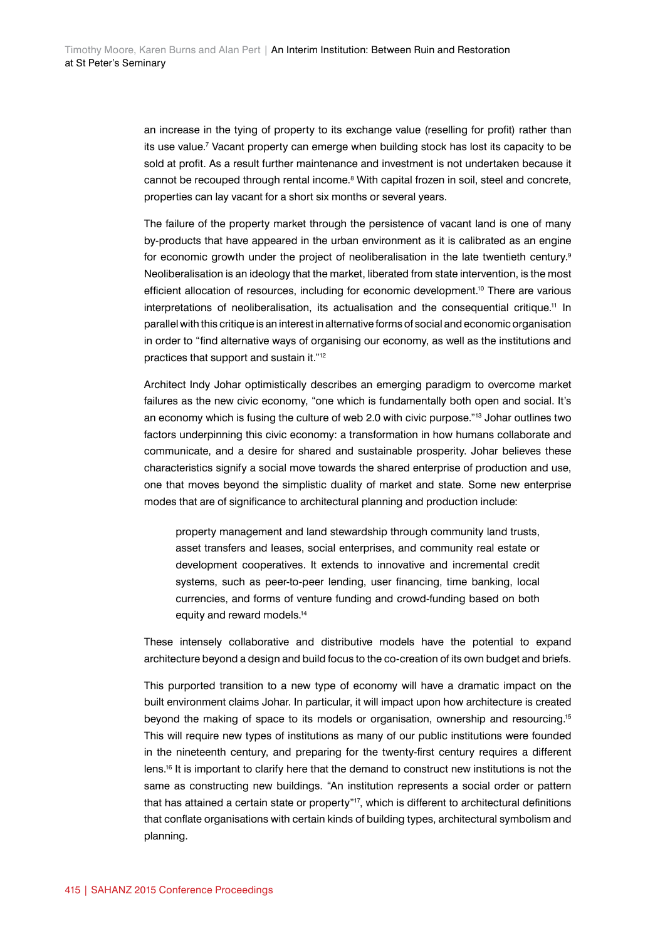an increase in the tying of property to its exchange value (reselling for profit) rather than its use value.7 Vacant property can emerge when building stock has lost its capacity to be sold at profit. As a result further maintenance and investment is not undertaken because it cannot be recouped through rental income.<sup>8</sup> With capital frozen in soil, steel and concrete, properties can lay vacant for a short six months or several years.

The failure of the property market through the persistence of vacant land is one of many by-products that have appeared in the urban environment as it is calibrated as an engine for economic growth under the project of neoliberalisation in the late twentieth century.<sup>9</sup> Neoliberalisation is an ideology that the market, liberated from state intervention, is the most efficient allocation of resources, including for economic development.<sup>10</sup> There are various interpretations of neoliberalisation, its actualisation and the consequential critique.<sup>11</sup> In parallel with this critique is an interest in alternative forms of social and economic organisation in order to "find alternative ways of organising our economy, as well as the institutions and practices that support and sustain it."12

Architect Indy Johar optimistically describes an emerging paradigm to overcome market failures as the new civic economy, "one which is fundamentally both open and social. It's an economy which is fusing the culture of web 2.0 with civic purpose."13 Johar outlines two factors underpinning this civic economy: a transformation in how humans collaborate and communicate, and a desire for shared and sustainable prosperity. Johar believes these characteristics signify a social move towards the shared enterprise of production and use, one that moves beyond the simplistic duality of market and state. Some new enterprise modes that are of significance to architectural planning and production include:

property management and land stewardship through community land trusts, asset transfers and leases, social enterprises, and community real estate or development cooperatives. It extends to innovative and incremental credit systems, such as peer-to-peer lending, user financing, time banking, local currencies, and forms of venture funding and crowd-funding based on both equity and reward models.<sup>14</sup>

These intensely collaborative and distributive models have the potential to expand architecture beyond a design and build focus to the co-creation of its own budget and briefs.

This purported transition to a new type of economy will have a dramatic impact on the built environment claims Johar. In particular, it will impact upon how architecture is created beyond the making of space to its models or organisation, ownership and resourcing.15 This will require new types of institutions as many of our public institutions were founded in the nineteenth century, and preparing for the twenty-first century requires a different lens.<sup>16</sup> It is important to clarify here that the demand to construct new institutions is not the same as constructing new buildings. "An institution represents a social order or pattern that has attained a certain state or property"<sup>17</sup>, which is different to architectural definitions that conflate organisations with certain kinds of building types, architectural symbolism and planning.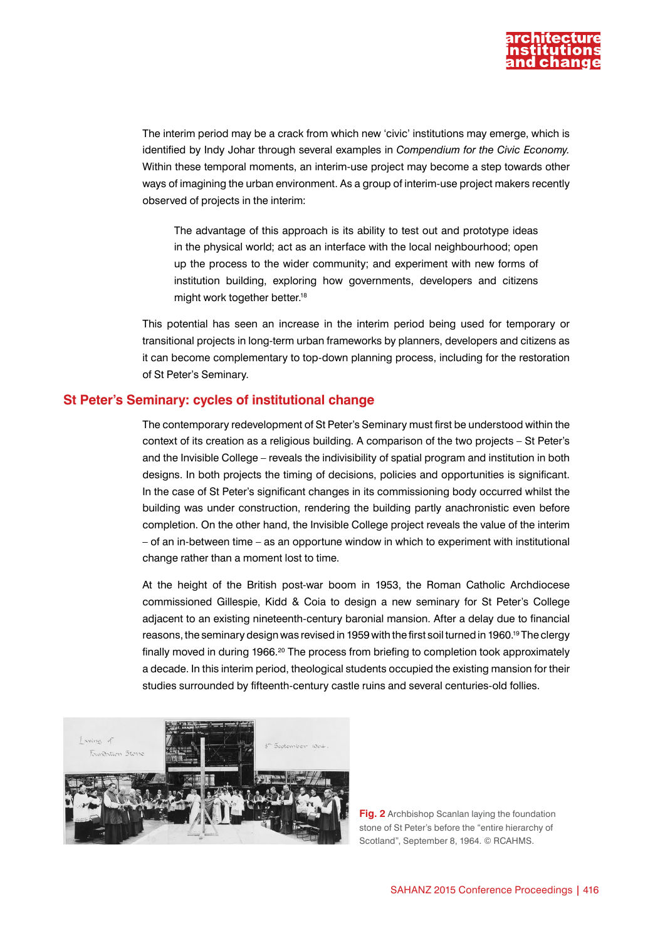

The interim period may be a crack from which new 'civic' institutions may emerge, which is identified by Indy Johar through several examples in *Compendium for the Civic Economy.* Within these temporal moments, an interim-use project may become a step towards other ways of imagining the urban environment. As a group of interim-use project makers recently observed of projects in the interim:

The advantage of this approach is its ability to test out and prototype ideas in the physical world; act as an interface with the local neighbourhood; open up the process to the wider community; and experiment with new forms of institution building, exploring how governments, developers and citizens might work together better.<sup>18</sup>

This potential has seen an increase in the interim period being used for temporary or transitional projects in long-term urban frameworks by planners, developers and citizens as it can become complementary to top-down planning process, including for the restoration of St Peter's Seminary.

#### **St Peter's Seminary: cycles of institutional change**

The contemporary redevelopment of St Peter's Seminary must first be understood within the context of its creation as a religious building. A comparison of the two projects – St Peter's and the Invisible College – reveals the indivisibility of spatial program and institution in both designs. In both projects the timing of decisions, policies and opportunities is significant. In the case of St Peter's significant changes in its commissioning body occurred whilst the building was under construction, rendering the building partly anachronistic even before completion. On the other hand, the Invisible College project reveals the value of the interim – of an in-between time – as an opportune window in which to experiment with institutional change rather than a moment lost to time.

At the height of the British post-war boom in 1953, the Roman Catholic Archdiocese commissioned Gillespie, Kidd & Coia to design a new seminary for St Peter's College adjacent to an existing nineteenth-century baronial mansion. After a delay due to financial reasons, the seminary design was revised in 1959 with the first soil turned in 1960.<sup>19</sup> The clergy finally moved in during 1966.<sup>20</sup> The process from briefing to completion took approximately a decade. In this interim period, theological students occupied the existing mansion for their studies surrounded by fifteenth-century castle ruins and several centuries-old follies.



**Fig. 2** Archbishop Scanlan laying the foundation stone of St Peter's before the "entire hierarchy of Scotland", September 8, 1964. © RCAHMS.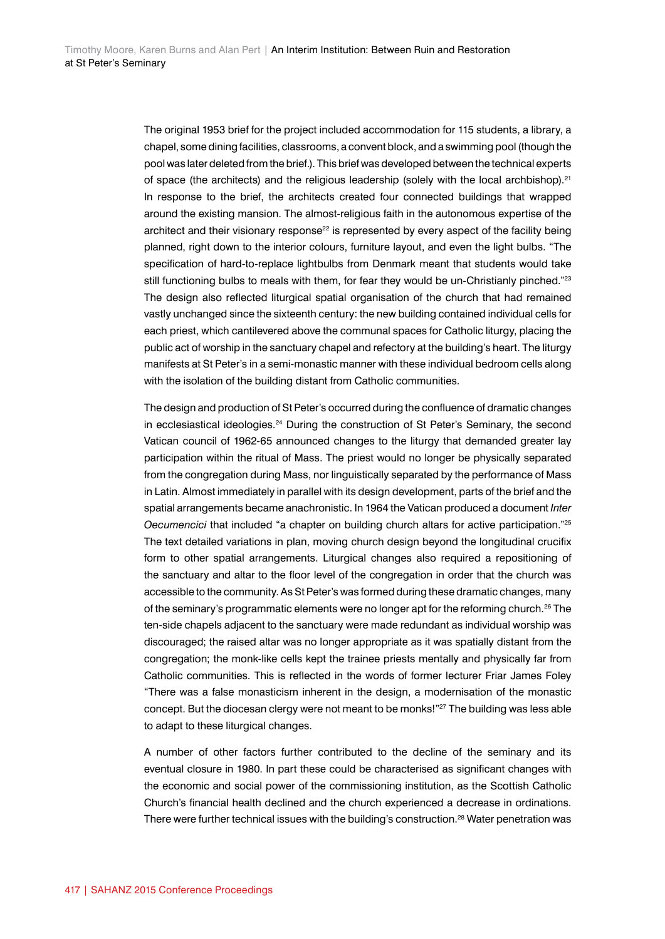The original 1953 brief for the project included accommodation for 115 students, a library, a chapel, some dining facilities, classrooms, a convent block, and a swimming pool (though the pool was later deleted from the brief.). This brief was developed between the technical experts of space (the architects) and the religious leadership (solely with the local archbishop).<sup>21</sup> In response to the brief, the architects created four connected buildings that wrapped around the existing mansion. The almost-religious faith in the autonomous expertise of the architect and their visionary response<sup>22</sup> is represented by every aspect of the facility being planned, right down to the interior colours, furniture layout, and even the light bulbs. "The specification of hard-to-replace lightbulbs from Denmark meant that students would take still functioning bulbs to meals with them, for fear they would be un-Christianly pinched."<sup>23</sup> The design also reflected liturgical spatial organisation of the church that had remained vastly unchanged since the sixteenth century: the new building contained individual cells for each priest, which cantilevered above the communal spaces for Catholic liturgy, placing the public act of worship in the sanctuary chapel and refectory at the building's heart. The liturgy manifests at St Peter's in a semi-monastic manner with these individual bedroom cells along with the isolation of the building distant from Catholic communities.

The design and production of St Peter's occurred during the confluence of dramatic changes in ecclesiastical ideologies.<sup>24</sup> During the construction of St Peter's Seminary, the second Vatican council of 1962-65 announced changes to the liturgy that demanded greater lay participation within the ritual of Mass. The priest would no longer be physically separated from the congregation during Mass, nor linguistically separated by the performance of Mass in Latin. Almost immediately in parallel with its design development, parts of the brief and the spatial arrangements became anachronistic. In 1964 the Vatican produced a document *Inter Oecumencici* that included "a chapter on building church altars for active participation."25 The text detailed variations in plan, moving church design beyond the longitudinal crucifix form to other spatial arrangements. Liturgical changes also required a repositioning of the sanctuary and altar to the floor level of the congregation in order that the church was accessible to the community. As St Peter's was formed during these dramatic changes, many of the seminary's programmatic elements were no longer apt for the reforming church.<sup>26</sup> The ten-side chapels adjacent to the sanctuary were made redundant as individual worship was discouraged; the raised altar was no longer appropriate as it was spatially distant from the congregation; the monk-like cells kept the trainee priests mentally and physically far from Catholic communities. This is reflected in the words of former lecturer Friar James Foley "There was a false monasticism inherent in the design, a modernisation of the monastic concept. But the diocesan clergy were not meant to be monks!"27 The building was less able to adapt to these liturgical changes.

A number of other factors further contributed to the decline of the seminary and its eventual closure in 1980. In part these could be characterised as significant changes with the economic and social power of the commissioning institution, as the Scottish Catholic Church's financial health declined and the church experienced a decrease in ordinations. There were further technical issues with the building's construction.<sup>28</sup> Water penetration was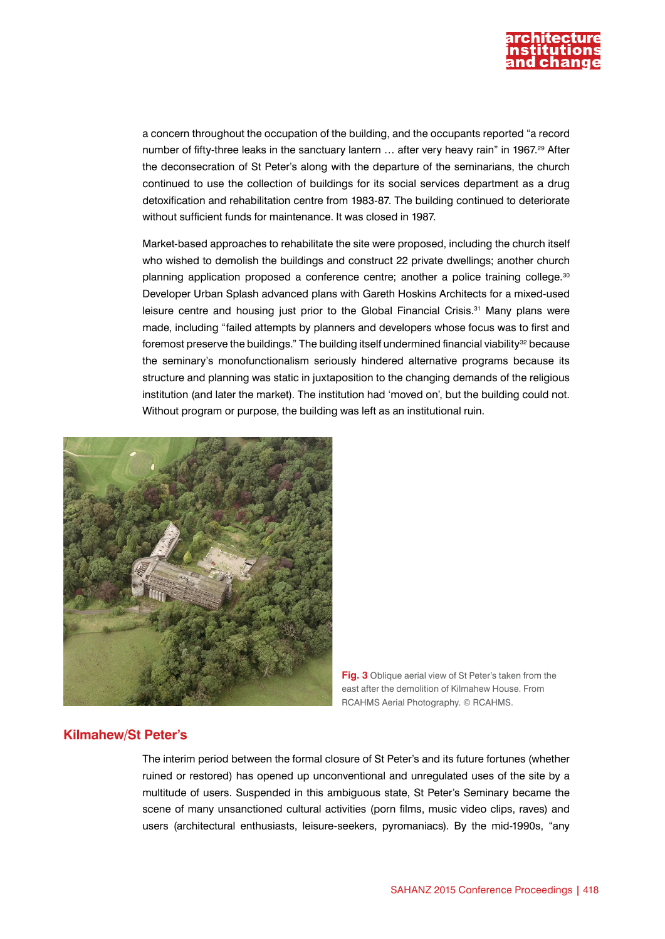

a concern throughout the occupation of the building, and the occupants reported "a record number of fifty-three leaks in the sanctuary lantern ... after very heavy rain" in 1967.<sup>29</sup> After the deconsecration of St Peter's along with the departure of the seminarians, the church continued to use the collection of buildings for its social services department as a drug detoxification and rehabilitation centre from 1983-87. The building continued to deteriorate without sufficient funds for maintenance. It was closed in 1987.

Market-based approaches to rehabilitate the site were proposed, including the church itself who wished to demolish the buildings and construct 22 private dwellings; another church planning application proposed a conference centre; another a police training college.<sup>30</sup> Developer Urban Splash advanced plans with Gareth Hoskins Architects for a mixed-used leisure centre and housing just prior to the Global Financial Crisis.<sup>31</sup> Many plans were made, including "failed attempts by planners and developers whose focus was to first and foremost preserve the buildings." The building itself undermined financial viability $32$  because the seminary's monofunctionalism seriously hindered alternative programs because its structure and planning was static in juxtaposition to the changing demands of the religious institution (and later the market). The institution had 'moved on', but the building could not. Without program or purpose, the building was left as an institutional ruin.



**Fig. 3** Oblique aerial view of St Peter's taken from the east after the demolition of Kilmahew House. From RCAHMS Aerial Photography. © RCAHMS.

#### **Kilmahew/St Peter's**

The interim period between the formal closure of St Peter's and its future fortunes (whether ruined or restored) has opened up unconventional and unregulated uses of the site by a multitude of users. Suspended in this ambiguous state, St Peter's Seminary became the scene of many unsanctioned cultural activities (porn films, music video clips, raves) and users (architectural enthusiasts, leisure-seekers, pyromaniacs). By the mid-1990s, "any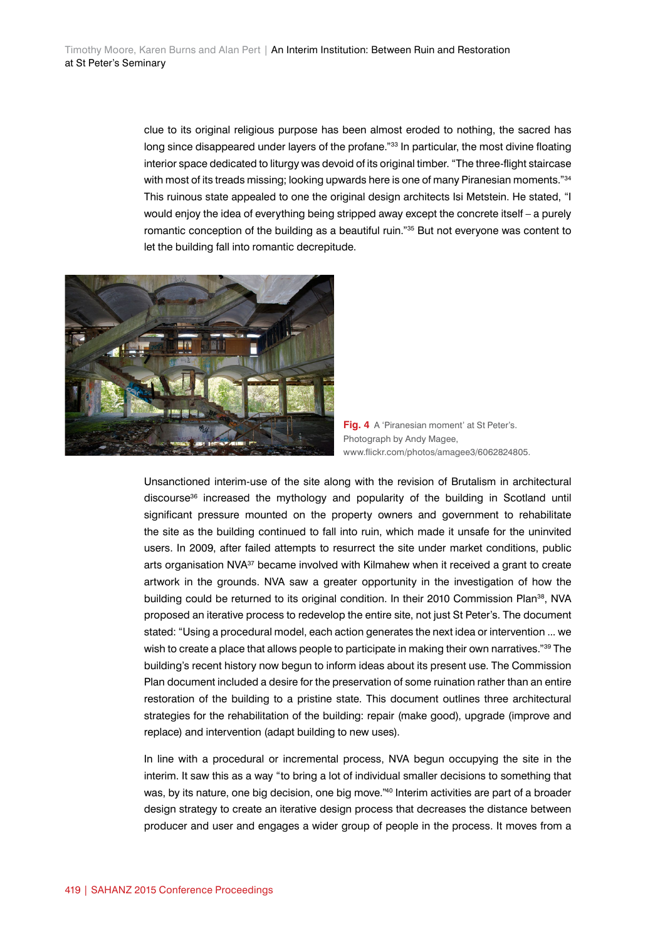clue to its original religious purpose has been almost eroded to nothing, the sacred has long since disappeared under layers of the profane."<sup>33</sup> In particular, the most divine floating interior space dedicated to liturgy was devoid of its original timber. "The three-flight staircase with most of its treads missing; looking upwards here is one of many Piranesian moments."<sup>34</sup> This ruinous state appealed to one the original design architects Isi Metstein. He stated, "I would enjoy the idea of everything being stripped away except the concrete itself – a purely romantic conception of the building as a beautiful ruin."35 But not everyone was content to let the building fall into romantic decrepitude.



**Fig. 4** A 'Piranesian moment' at St Peter's. Photograph by Andy Magee, www.flickr.com/photos/amagee3/6062824805.

Unsanctioned interim-use of the site along with the revision of Brutalism in architectural discourse<sup>36</sup> increased the mythology and popularity of the building in Scotland until significant pressure mounted on the property owners and government to rehabilitate the site as the building continued to fall into ruin, which made it unsafe for the uninvited users. In 2009, after failed attempts to resurrect the site under market conditions, public arts organisation NVA<sup>37</sup> became involved with Kilmahew when it received a grant to create artwork in the grounds. NVA saw a greater opportunity in the investigation of how the building could be returned to its original condition. In their 2010 Commission Plan<sup>38</sup>, NVA proposed an iterative process to redevelop the entire site, not just St Peter's. The document stated: "Using a procedural model, each action generates the next idea or intervention ... we wish to create a place that allows people to participate in making their own narratives."<sup>39</sup> The building's recent history now begun to inform ideas about its present use. The Commission Plan document included a desire for the preservation of some ruination rather than an entire restoration of the building to a pristine state. This document outlines three architectural strategies for the rehabilitation of the building: repair (make good), upgrade (improve and replace) and intervention (adapt building to new uses).

In line with a procedural or incremental process, NVA begun occupying the site in the interim. It saw this as a way "to bring a lot of individual smaller decisions to something that was, by its nature, one big decision, one big move."<sup>40</sup> Interim activities are part of a broader design strategy to create an iterative design process that decreases the distance between producer and user and engages a wider group of people in the process. It moves from a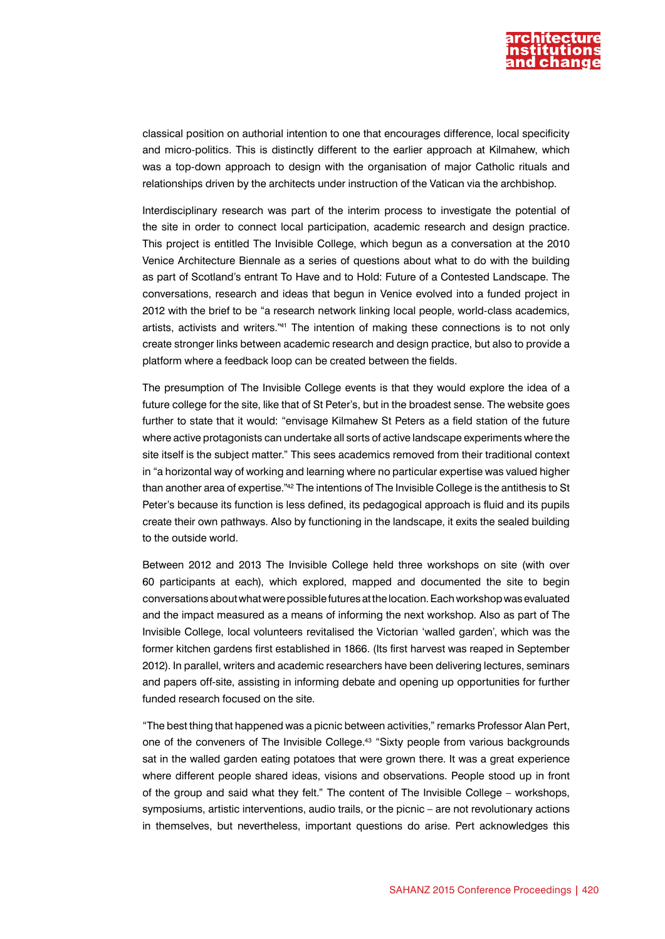

classical position on authorial intention to one that encourages difference, local specificity and micro-politics. This is distinctly different to the earlier approach at Kilmahew, which was a top-down approach to design with the organisation of major Catholic rituals and relationships driven by the architects under instruction of the Vatican via the archbishop.

Interdisciplinary research was part of the interim process to investigate the potential of the site in order to connect local participation, academic research and design practice. This project is entitled The Invisible College, which begun as a conversation at the 2010 Venice Architecture Biennale as a series of questions about what to do with the building as part of Scotland's entrant To Have and to Hold: Future of a Contested Landscape. The conversations, research and ideas that begun in Venice evolved into a funded project in 2012 with the brief to be "a research network linking local people, world-class academics, artists, activists and writers."41 The intention of making these connections is to not only create stronger links between academic research and design practice, but also to provide a platform where a feedback loop can be created between the fields.

The presumption of The Invisible College events is that they would explore the idea of a future college for the site, like that of St Peter's, but in the broadest sense. The website goes further to state that it would: "envisage Kilmahew St Peters as a field station of the future where active protagonists can undertake all sorts of active landscape experiments where the site itself is the subject matter." This sees academics removed from their traditional context in "a horizontal way of working and learning where no particular expertise was valued higher than another area of expertise."42 The intentions of The Invisible College is the antithesis to St Peter's because its function is less defined, its pedagogical approach is fluid and its pupils create their own pathways. Also by functioning in the landscape, it exits the sealed building to the outside world.

Between 2012 and 2013 The Invisible College held three workshops on site (with over 60 participants at each), which explored, mapped and documented the site to begin conversations about what were possible futures at the location. Each workshop was evaluated and the impact measured as a means of informing the next workshop. Also as part of The Invisible College, local volunteers revitalised the Victorian 'walled garden', which was the former kitchen gardens first established in 1866. (Its first harvest was reaped in September 2012). In parallel, writers and academic researchers have been delivering lectures, seminars and papers off-site, assisting in informing debate and opening up opportunities for further funded research focused on the site.

"The best thing that happened was a picnic between activities," remarks Professor Alan Pert, one of the conveners of The Invisible College.43 "Sixty people from various backgrounds sat in the walled garden eating potatoes that were grown there. It was a great experience where different people shared ideas, visions and observations. People stood up in front of the group and said what they felt." The content of The Invisible College – workshops, symposiums, artistic interventions, audio trails, or the picnic – are not revolutionary actions in themselves, but nevertheless, important questions do arise. Pert acknowledges this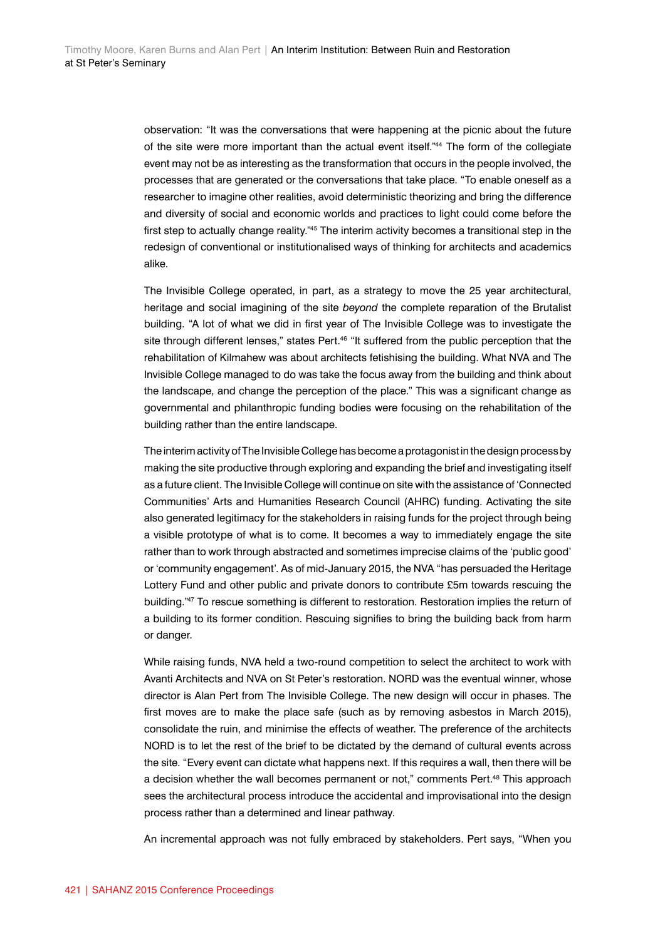observation: "It was the conversations that were happening at the picnic about the future of the site were more important than the actual event itself."44 The form of the collegiate event may not be as interesting as the transformation that occurs in the people involved, the processes that are generated or the conversations that take place. "To enable oneself as a researcher to imagine other realities, avoid deterministic theorizing and bring the difference and diversity of social and economic worlds and practices to light could come before the first step to actually change reality."<sup>45</sup> The interim activity becomes a transitional step in the redesign of conventional or institutionalised ways of thinking for architects and academics alike.

The Invisible College operated, in part, as a strategy to move the 25 year architectural, heritage and social imagining of the site *beyond* the complete reparation of the Brutalist building. "A lot of what we did in first year of The Invisible College was to investigate the site through different lenses," states Pert.<sup>46</sup> "It suffered from the public perception that the rehabilitation of Kilmahew was about architects fetishising the building. What NVA and The Invisible College managed to do was take the focus away from the building and think about the landscape, and change the perception of the place." This was a significant change as governmental and philanthropic funding bodies were focusing on the rehabilitation of the building rather than the entire landscape.

The interim activity of The Invisible College has become a protagonist in the design process by making the site productive through exploring and expanding the brief and investigating itself as a future client. The Invisible College will continue on site with the assistance of 'Connected Communities' Arts and Humanities Research Council (AHRC) funding. Activating the site also generated legitimacy for the stakeholders in raising funds for the project through being a visible prototype of what is to come. It becomes a way to immediately engage the site rather than to work through abstracted and sometimes imprecise claims of the 'public good' or 'community engagement'. As of mid-January 2015, the NVA "has persuaded the Heritage Lottery Fund and other public and private donors to contribute £5m towards rescuing the building."<sup>47</sup> To rescue something is different to restoration. Restoration implies the return of a building to its former condition. Rescuing signifies to bring the building back from harm or danger.

While raising funds, NVA held a two-round competition to select the architect to work with Avanti Architects and NVA on St Peter's restoration. NORD was the eventual winner, whose director is Alan Pert from The Invisible College. The new design will occur in phases. The first moves are to make the place safe (such as by removing asbestos in March 2015), consolidate the ruin, and minimise the effects of weather. The preference of the architects NORD is to let the rest of the brief to be dictated by the demand of cultural events across the site. "Every event can dictate what happens next. If this requires a wall, then there will be a decision whether the wall becomes permanent or not," comments Pert.48 This approach sees the architectural process introduce the accidental and improvisational into the design process rather than a determined and linear pathway.

An incremental approach was not fully embraced by stakeholders. Pert says, "When you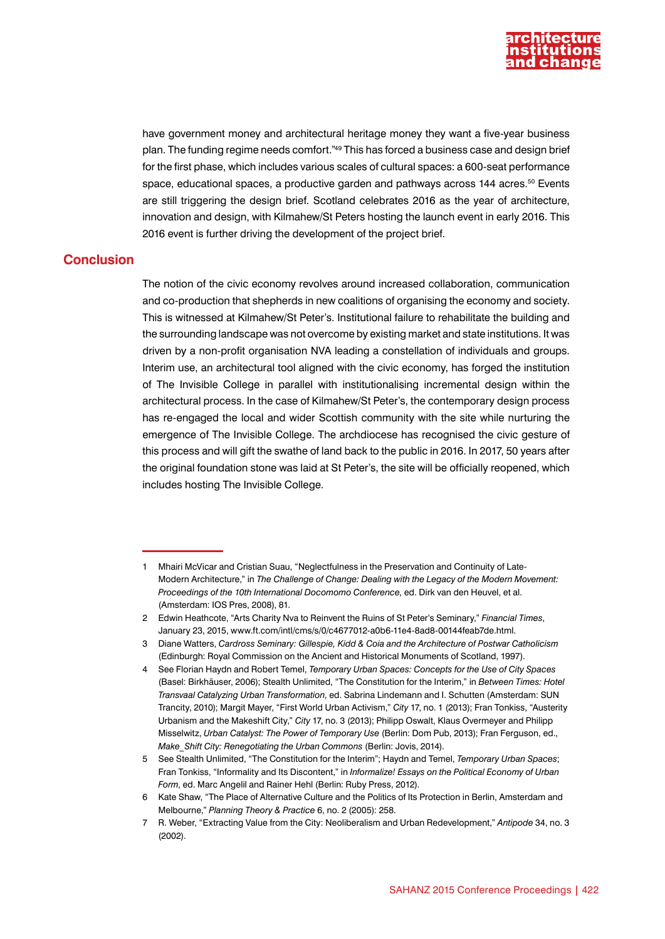

have government money and architectural heritage money they want a five-year business plan. The funding regime needs comfort."49 This has forced a business case and design brief for the first phase, which includes various scales of cultural spaces: a 600-seat performance space, educational spaces, a productive garden and pathways across 144 acres.<sup>50</sup> Events are still triggering the design brief. Scotland celebrates 2016 as the year of architecture, innovation and design, with Kilmahew/St Peters hosting the launch event in early 2016. This 2016 event is further driving the development of the project brief.

#### **Conclusion**

The notion of the civic economy revolves around increased collaboration, communication and co-production that shepherds in new coalitions of organising the economy and society. This is witnessed at Kilmahew/St Peter's. Institutional failure to rehabilitate the building and the surrounding landscape was not overcome by existing market and state institutions. It was driven by a non-profit organisation NVA leading a constellation of individuals and groups. Interim use, an architectural tool aligned with the civic economy, has forged the institution of The Invisible College in parallel with institutionalising incremental design within the architectural process. In the case of Kilmahew/St Peter's, the contemporary design process has re-engaged the local and wider Scottish community with the site while nurturing the emergence of The Invisible College. The archdiocese has recognised the civic gesture of this process and will gift the swathe of land back to the public in 2016. In 2017, 50 years after the original foundation stone was laid at St Peter's, the site will be officially reopened, which includes hosting The Invisible College.

<sup>1</sup> Mhairi McVicar and Cristian Suau, "Neglectfulness in the Preservation and Continuity of Late-Modern Architecture," in *The Challenge of Change: Dealing with the Legacy of the Modern Movement: Proceedings of the 10th International Docomomo Conference*, ed. Dirk van den Heuvel, et al. (Amsterdam: IOS Pres, 2008), 81.

<sup>2</sup> Edwin Heathcote, "Arts Charity Nva to Reinvent the Ruins of St Peter's Seminary," *Financial Times*, January 23, 2015, www.ft.com/intl/cms/s/0/c4677012-a0b6-11e4-8ad8-00144feab7de.html.

<sup>3</sup> Diane Watters, *Cardross Seminary: Gillespie, Kidd & Coia and the Architecture of Postwar Catholicism* (Edinburgh: Royal Commission on the Ancient and Historical Monuments of Scotland, 1997).

<sup>4</sup> See Florian Haydn and Robert Temel, *Temporary Urban Spaces: Concepts for the Use of City Spaces* (Basel: Birkhäuser, 2006); Stealth Unlimited, "The Constitution for the Interim," in *Between Times: Hotel Transvaal Catalyzing Urban Transformation*, ed. Sabrina Lindemann and I. Schutten (Amsterdam: SUN Trancity, 2010); Margit Mayer, "First World Urban Activism," *City* 17, no. 1 (2013); Fran Tonkiss, "Austerity Urbanism and the Makeshift City," *City* 17, no. 3 (2013); Philipp Oswalt, Klaus Overmeyer and Philipp Misselwitz, *Urban Catalyst: The Power of Temporary Use* (Berlin: Dom Pub, 2013); Fran Ferguson, ed., *Make\_Shift City: Renegotiating the Urban Commons* (Berlin: Jovis, 2014).

<sup>5</sup> See Stealth Unlimited, "The Constitution for the Interim"; Haydn and Temel, *Temporary Urban Spaces*; Fran Tonkiss, "Informality and Its Discontent," in *Informalize! Essays on the Political Economy of Urban Form*, ed. Marc Angelil and Rainer Hehl (Berlin: Ruby Press, 2012).

<sup>6</sup> Kate Shaw, "The Place of Alternative Culture and the Politics of Its Protection in Berlin, Amsterdam and Melbourne," *Planning Theory & Practice* 6, no. 2 (2005): 258.

<sup>7</sup> R. Weber, "Extracting Value from the City: Neoliberalism and Urban Redevelopment," *Antipode* 34, no. 3 (2002).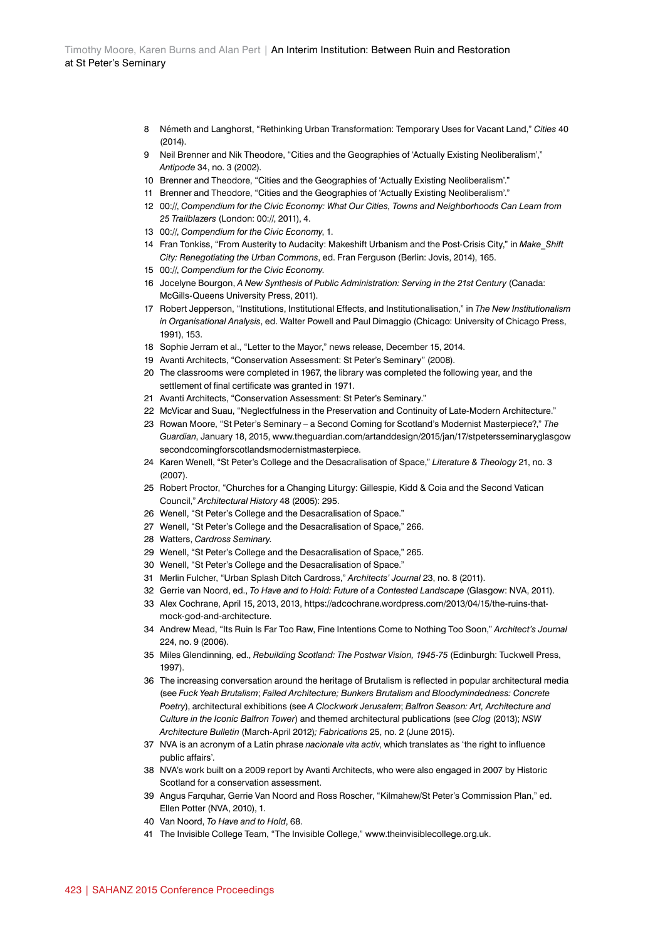- 8 Németh and Langhorst, "Rethinking Urban Transformation: Temporary Uses for Vacant Land," *Cities* 40 (2014).
- 9 Neil Brenner and Nik Theodore, "Cities and the Geographies of 'Actually Existing Neoliberalism'," *Antipode* 34, no. 3 (2002).
- 10 Brenner and Theodore, "Cities and the Geographies of 'Actually Existing Neoliberalism'."
- 11 Brenner and Theodore, "Cities and the Geographies of 'Actually Existing Neoliberalism'."
- 12 00://, *Compendium for the Civic Economy: What Our Cities, Towns and Neighborhoods Can Learn from 25 Trailblazers* (London: 00://, 2011), 4.
- 13 00://, *Compendium for the Civic Economy*, 1.
- 14 Fran Tonkiss, "From Austerity to Audacity: Makeshift Urbanism and the Post-Crisis City," in *Make\_Shift City: Renegotiating the Urban Commons*, ed. Fran Ferguson (Berlin: Jovis, 2014), 165.
- 15 00://, *Compendium for the Civic Economy*.
- 16 Jocelyne Bourgon, *A New Synthesis of Public Administration: Serving in the 21st Century* (Canada: McGills-Queens University Press, 2011).
- 17 Robert Jepperson, "Institutions, Institutional Effects, and Institutionalisation," in *The New Institutionalism in Organisational Analysis*, ed. Walter Powell and Paul Dimaggio (Chicago: University of Chicago Press, 1991), 153.
- 18 Sophie Jerram et al., "Letter to the Mayor," news release, December 15, 2014.
- 19 Avanti Architects, "Conservation Assessment: St Peter's Seminary" (2008).
- 20 The classrooms were completed in 1967, the library was completed the following year, and the settlement of final certificate was granted in 1971.
- 21 Avanti Architects, "Conservation Assessment: St Peter's Seminary."
- 22 McVicar and Suau, "Neglectfulness in the Preservation and Continuity of Late-Modern Architecture."
- 23 Rowan Moore, "St Peter's Seminary a Second Coming for Scotland's Modernist Masterpiece?," *The Guardian*, January 18, 2015, www.theguardian.com/artanddesign/2015/jan/17/stpetersseminaryglasgow secondcomingforscotlandsmodernistmasterpiece.
- 24 Karen Wenell, "St Peter's College and the Desacralisation of Space," *Literature & Theology* 21, no. 3 (2007).
- 25 Robert Proctor, "Churches for a Changing Liturgy: Gillespie, Kidd & Coia and the Second Vatican Council," *Architectural History* 48 (2005): 295.
- 26 Wenell, "St Peter's College and the Desacralisation of Space."
- 27 Wenell, "St Peter's College and the Desacralisation of Space," 266.
- 28 Watters, *Cardross Seminary.*
- 29 Wenell, "St Peter's College and the Desacralisation of Space," 265.
- 30 Wenell, "St Peter's College and the Desacralisation of Space."
- 31 Merlin Fulcher, "Urban Splash Ditch Cardross," *Architects' Journal* 23, no. 8 (2011).
- 32 Gerrie van Noord, ed., *To Have and to Hold: Future of a Contested Landscape* (Glasgow: NVA, 2011).
- 33 Alex Cochrane, April 15, 2013, 2013, https://adcochrane.wordpress.com/2013/04/15/the-ruins-thatmock-god-and-architecture.
- 34 Andrew Mead, "Its Ruin Is Far Too Raw, Fine Intentions Come to Nothing Too Soon," *Architect's Journal* 224, no. 9 (2006).
- 35 Miles Glendinning, ed., *Rebuilding Scotland: The Postwar Vision, 1945-75* (Edinburgh: Tuckwell Press, 1997).
- 36 The increasing conversation around the heritage of Brutalism is reflected in popular architectural media (see *Fuck Yeah Brutalism*; *Failed Architecture; Bunkers Brutalism and Bloodymindedness: Concrete Poetry*), architectural exhibitions (see *A Clockwork Jerusalem*; *Balfron Season: Art, Architecture and Culture in the Iconic Balfron Tower*) and themed architectural publications (see *Clog* (2013); *NSW Architecture Bulletin* (March-April 2012)*; Fabrications* 25, no. 2 (June 2015).
- 37 NVA is an acronym of a Latin phrase *nacionale vita activ*, which translates as 'the right to influence public affairs'.
- 38 NVA's work built on a 2009 report by Avanti Architects, who were also engaged in 2007 by Historic Scotland for a conservation assessment.
- 39 Angus Farquhar, Gerrie Van Noord and Ross Roscher, "Kilmahew/St Peter's Commission Plan," ed. Ellen Potter (NVA, 2010), 1.
- 40 Van Noord, *To Have and to Hold*, 68.
- 41 The Invisible College Team, "The Invisible College," www.theinvisiblecollege.org.uk.